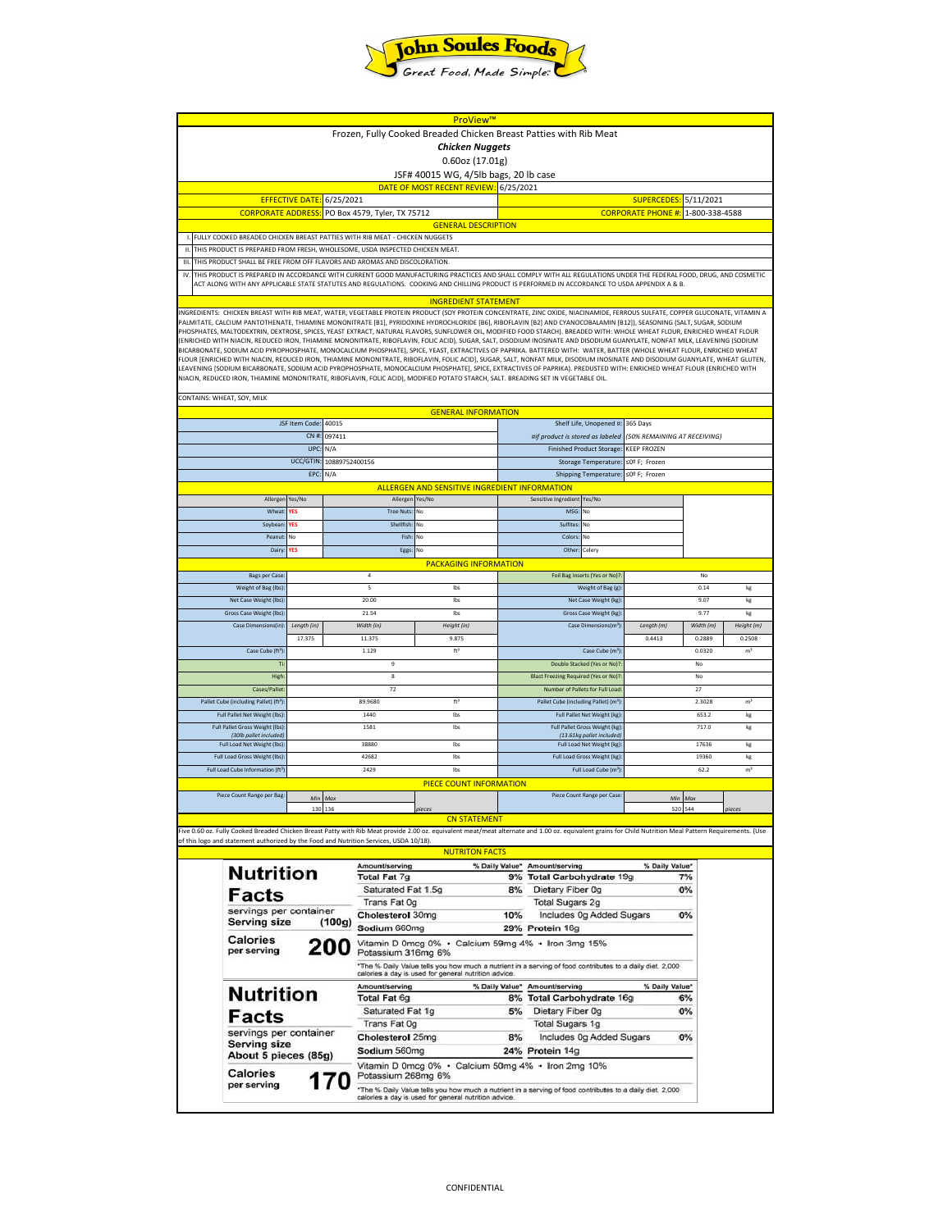

| ProView™                                                                                                                                                                                                                                                                                                                                              |                                                     |         |                                                                                                          |                                                     |                                                     |                                                                  |                             |                              |                |        |  |
|-------------------------------------------------------------------------------------------------------------------------------------------------------------------------------------------------------------------------------------------------------------------------------------------------------------------------------------------------------|-----------------------------------------------------|---------|----------------------------------------------------------------------------------------------------------|-----------------------------------------------------|-----------------------------------------------------|------------------------------------------------------------------|-----------------------------|------------------------------|----------------|--------|--|
| Frozen, Fully Cooked Breaded Chicken Breast Patties with Rib Meat                                                                                                                                                                                                                                                                                     |                                                     |         |                                                                                                          |                                                     |                                                     |                                                                  |                             |                              |                |        |  |
| <b>Chicken Nuggets</b>                                                                                                                                                                                                                                                                                                                                |                                                     |         |                                                                                                          |                                                     |                                                     |                                                                  |                             |                              |                |        |  |
| $0.60$ oz (17.01g)                                                                                                                                                                                                                                                                                                                                    |                                                     |         |                                                                                                          |                                                     |                                                     |                                                                  |                             |                              |                |        |  |
| JSF# 40015 WG, 4/5lb bags, 20 lb case                                                                                                                                                                                                                                                                                                                 |                                                     |         |                                                                                                          |                                                     |                                                     |                                                                  |                             |                              |                |        |  |
| DATE OF MOST RECENT REVIEW: 6/25/2021                                                                                                                                                                                                                                                                                                                 |                                                     |         |                                                                                                          |                                                     |                                                     |                                                                  |                             |                              |                |        |  |
| 6/25/2021<br><b>EFFECTIVE DATE</b>                                                                                                                                                                                                                                                                                                                    |                                                     |         |                                                                                                          |                                                     |                                                     |                                                                  |                             | <b>SUPERCEDES:</b>           | 5/11/2021      |        |  |
| <b>CORPORATE ADDRESS</b><br>PO Box 4579, Tyler, TX 75712                                                                                                                                                                                                                                                                                              |                                                     |         |                                                                                                          |                                                     |                                                     |                                                                  |                             | <b>CORPORATE PHONE #:</b>    | 1-800-338-4588 |        |  |
|                                                                                                                                                                                                                                                                                                                                                       |                                                     |         |                                                                                                          | <b>GENERAL DESCRIPTION</b>                          |                                                     |                                                                  |                             |                              |                |        |  |
| FULLY COOKED BREADED CHICKEN BREAST PATTIES WITH RIB MEAT - CHICKEN NUGGETS<br>THIS PRODUCT IS PREPARED FROM FRESH, WHOLESOME, USDA INSPECTED CHICKEN MEAT.<br>Ш.                                                                                                                                                                                     |                                                     |         |                                                                                                          |                                                     |                                                     |                                                                  |                             |                              |                |        |  |
| THIS PRODUCT SHALL BE FREE FROM OFF FLAVORS AND AROMAS AND DISCOLORATION.<br>$\mathbf{H}$                                                                                                                                                                                                                                                             |                                                     |         |                                                                                                          |                                                     |                                                     |                                                                  |                             |                              |                |        |  |
| IV.<br>THIS PRODUCT IS PREPARED IN ACCORDANCE WITH CURRENT GOOD MANUFACTURING PRACTICES AND SHALL COMPLY WITH ALL REGULATIONS UNDER THE FEDERAL FOOD, DRUG, AND COSMETIC                                                                                                                                                                              |                                                     |         |                                                                                                          |                                                     |                                                     |                                                                  |                             |                              |                |        |  |
| ACT ALONG WITH ANY APPLICABLE STATE STATUTES AND REGULATIONS. COOKING AND CHILLING PRODUCT IS PERFORMED IN ACCORDANCE TO USDA APPENDIX A & B.                                                                                                                                                                                                         |                                                     |         |                                                                                                          |                                                     |                                                     |                                                                  |                             |                              |                |        |  |
|                                                                                                                                                                                                                                                                                                                                                       |                                                     |         |                                                                                                          | <b>INGREDIENT STATEMENT</b>                         |                                                     |                                                                  |                             |                              |                |        |  |
| INGREDIENTS: CHICKEN BREAST WITH RIB MEAT, WATER, VEGETABLE PROTEIN PRODUCT (SOY PROTEIN CONCENTRATE, ZINC OXIDE, NIACINAMIDE, FERROUS SULFATE, COPPER GLUCONATE, VITAMIN A                                                                                                                                                                           |                                                     |         |                                                                                                          |                                                     |                                                     |                                                                  |                             |                              |                |        |  |
| PALMITATE, CALCIUM PANTOTHENATE, THIAMINE MONONITRATE [B1], PYRIDOXINE HYDROCHLORIDE [B6], RIBOFLAVIN [B2] AND CYANOCOBALAMIN [B12]), SEASONING (SALT, SUGAR, SODIUM<br>PHOSPHATES, MALTODEXTRIN, DEXTROSE, SPICES, YEAST EXTRACT, NATURAL FLAVORS, SUNFLOWER OIL, MODIFIED FOOD STARCH). BREADED WITH: WHOLE WHEAT FLOUR, ENRICHED WHEAT FLOUR       |                                                     |         |                                                                                                          |                                                     |                                                     |                                                                  |                             |                              |                |        |  |
| (ENRICHED WITH NIACIN, REDUCED IRON, THIAMINE MONONITRATE, RIBOFLAVIN, FOLIC ACID), SUGAR, SALT, DISODIUM INOSINATE AND DISODIUM GUANYLATE, NONFAT MILK, LEAVENING (SODIUM                                                                                                                                                                            |                                                     |         |                                                                                                          |                                                     |                                                     |                                                                  |                             |                              |                |        |  |
| BICARBONATE, SODIUM ACID PYROPHOSPHATE, MONOCALCIUM PHOSPHATE), SPICE, YEAST, EXTRACTIVES OF PAPRIKA. BATTERED WITH: WATER, BATTER (WHOLE WHEAT FLOUR, ENRICHED WHEAT<br>FLOUR [ENRICHED WITH NIACIN, REDUCED IRON, THIAMINE MONONITRATE, RIBOFLAVIN, FOLIC ACID], SUGAR, SALT, NONFAT MILK, DISODIUM INOSINATE AND DISODIUM GUANYLATE, WHEAT GLUTEN, |                                                     |         |                                                                                                          |                                                     |                                                     |                                                                  |                             |                              |                |        |  |
| LEAVENING [SODIUM BICARBONATE, SODIUM ACID PYROPHOSPHATE, MONOCALCIUM PHOSPHATE], SPICE, EXTRACTIVES OF PAPRIKA). PREDUSTED WITH: ENRICHED WHEAT FLOUR (ENRICHED WITH                                                                                                                                                                                 |                                                     |         |                                                                                                          |                                                     |                                                     |                                                                  |                             |                              |                |        |  |
| NIACIN, REDUCED IRON, THIAMINE MONONITRATE, RIBOFLAVIN, FOLIC ACID), MODIFIED POTATO STARCH, SALT. BREADING SET IN VEGETABLE OIL.                                                                                                                                                                                                                     |                                                     |         |                                                                                                          |                                                     |                                                     |                                                                  |                             |                              |                |        |  |
| CONTAINS: WHEAT, SOY, MILK                                                                                                                                                                                                                                                                                                                            |                                                     |         |                                                                                                          |                                                     |                                                     |                                                                  |                             |                              |                |        |  |
| <b>GENERAL INFORMATION</b>                                                                                                                                                                                                                                                                                                                            |                                                     |         |                                                                                                          |                                                     |                                                     |                                                                  |                             |                              |                |        |  |
|                                                                                                                                                                                                                                                                                                                                                       |                                                     |         |                                                                                                          | Shelf Life, Unopened ¤:                             | 365 Days                                            |                                                                  |                             |                              |                |        |  |
| JSF Item Code: 40015<br>CN #:<br>097411                                                                                                                                                                                                                                                                                                               |                                                     |         |                                                                                                          |                                                     |                                                     | ¤if product is stored as labeled                                 |                             | (50% REMAINING AT RECEIVING) |                |        |  |
| UPC:<br>N/A                                                                                                                                                                                                                                                                                                                                           |                                                     |         |                                                                                                          |                                                     |                                                     | <b>Finished Product Storage:</b>                                 | <b>KEEP FROZEN</b>          |                              |                |        |  |
| UCC/GTIN                                                                                                                                                                                                                                                                                                                                              |                                                     |         | 10889752400156                                                                                           |                                                     |                                                     | Storage Temperature:                                             |                             | ≤0º F; Frozen                |                |        |  |
| EPC:<br>N/A                                                                                                                                                                                                                                                                                                                                           |                                                     |         |                                                                                                          |                                                     |                                                     |                                                                  | Shipping Temperature:       | ≤0º F; Frozen                |                |        |  |
|                                                                                                                                                                                                                                                                                                                                                       | ALLERGEN AND SENSITIVE INGREDIENT INFORMATION       |         |                                                                                                          |                                                     |                                                     |                                                                  |                             |                              |                |        |  |
| Allerge                                                                                                                                                                                                                                                                                                                                               | Yes/No                                              |         | Allerger                                                                                                 | Yes/No                                              |                                                     | Sensitive Ingredient                                             | Yes/No                      |                              |                |        |  |
| Wheat                                                                                                                                                                                                                                                                                                                                                 | ⁄ES                                                 |         | <b>Tree Nuts:</b>                                                                                        | No                                                  |                                                     | MSG:                                                             | No                          |                              |                |        |  |
| Soybear                                                                                                                                                                                                                                                                                                                                               | <b>/ES</b>                                          |         | Shellfish:                                                                                               | No                                                  |                                                     | Sulfites:                                                        | No                          |                              |                |        |  |
| Peanut                                                                                                                                                                                                                                                                                                                                                | No<br>ÆS                                            |         | Fish:                                                                                                    | No                                                  |                                                     | Colors                                                           | No<br>Celery                |                              |                |        |  |
| Dairy                                                                                                                                                                                                                                                                                                                                                 |                                                     |         | Eggs:                                                                                                    | No                                                  |                                                     | Other                                                            |                             |                              |                |        |  |
|                                                                                                                                                                                                                                                                                                                                                       |                                                     |         | $\overline{4}$                                                                                           | <b>PACKAGING INFORMATION</b>                        |                                                     |                                                                  |                             |                              | No             |        |  |
| <b>Bags per Case</b><br>Weight of Bag (lbs)                                                                                                                                                                                                                                                                                                           |                                                     |         | 5<br>Ibs                                                                                                 |                                                     | Foil Bag Inserts (Yes or No)?<br>Weight of Bag (g): |                                                                  |                             | 0.14                         | kg             |        |  |
| Net Case Weight (lbs)                                                                                                                                                                                                                                                                                                                                 |                                                     |         | 20.00<br>Ibs                                                                                             |                                                     | Net Case Weight (kg):                               |                                                                  |                             | 9.07                         | kg             |        |  |
| Gross Case Weight (lbs)                                                                                                                                                                                                                                                                                                                               |                                                     |         | 21.54<br>Ibs                                                                                             |                                                     | Gross Case Weight (kg):                             |                                                                  |                             | 9.77                         | kg             |        |  |
| Case Dimensions(in):<br>Length (in)                                                                                                                                                                                                                                                                                                                   |                                                     |         | Width (in)<br>Height (in)                                                                                |                                                     | Case Dimensions(m <sup>3</sup> ):                   |                                                                  | Length (m)                  | Width (m)                    | Height (m)     |        |  |
|                                                                                                                                                                                                                                                                                                                                                       | 17.375                                              |         | 11.375                                                                                                   | 9.875                                               |                                                     |                                                                  |                             | 0.4413                       | 0.2889         | 0.2508 |  |
| Case Cube (ft <sup>3</sup> )                                                                                                                                                                                                                                                                                                                          |                                                     |         | 1.129                                                                                                    | fť                                                  |                                                     | Case Cube (m <sup>3</sup> )                                      |                             |                              | 0.0320         | mì     |  |
| Ti                                                                                                                                                                                                                                                                                                                                                    |                                                     |         | $\overline{9}$                                                                                           |                                                     | Double Stacked (Yes or No)?                         |                                                                  |                             | No                           |                |        |  |
| High                                                                                                                                                                                                                                                                                                                                                  |                                                     |         | $\bf8$                                                                                                   |                                                     |                                                     | <b>Blast Freezing Required (Yes or No)?</b>                      |                             | No                           |                |        |  |
| Cases/Pallet                                                                                                                                                                                                                                                                                                                                          |                                                     |         | 72                                                                                                       |                                                     |                                                     | Number of Pallets for Full Load                                  |                             | 27                           |                |        |  |
| Pallet Cube (including Pallet) (ft <sup>3</sup> )                                                                                                                                                                                                                                                                                                     |                                                     |         | ft <sup>3</sup><br>89,9680                                                                               |                                                     |                                                     | Pallet Cube (including Pallet) (m <sup>3</sup> )                 |                             | 2.3028<br>m <sup>3</sup>     |                |        |  |
| Full Pallet Net Weight (lbs)                                                                                                                                                                                                                                                                                                                          |                                                     |         | 1440                                                                                                     | Ibs                                                 | Full Pallet Net Weight (kg):                        |                                                                  | 653.2<br>kg                 |                              |                |        |  |
| Full Pallet Gross Weight (lbs):<br>(30lb pallet included)                                                                                                                                                                                                                                                                                             |                                                     |         | 1581<br>Ibs                                                                                              |                                                     |                                                     | Full Pallet Gross Weight (kg):<br>(13.61kg pallet included)      |                             | 717.0<br>kg                  |                |        |  |
| Full Load Net Weight (lbs)                                                                                                                                                                                                                                                                                                                            |                                                     |         | 38880<br>Ibs                                                                                             |                                                     |                                                     | Full Load Net Weight (kg):                                       |                             | 17636<br>kg                  |                |        |  |
| Full Load Gross Weight (Ibs)                                                                                                                                                                                                                                                                                                                          |                                                     |         | 42682<br>Ibs                                                                                             |                                                     |                                                     | Full Load Gross Weight (kg):<br>Full Load Cube (m <sup>3</sup> ) |                             | 19360<br>kg                  |                |        |  |
| Full Load Cube Information (ft <sup>3</sup> )                                                                                                                                                                                                                                                                                                         |                                                     |         | 2429<br>Ibs                                                                                              |                                                     |                                                     |                                                                  | 62.2<br>m <sup>3</sup>      |                              |                |        |  |
| Piece Count Range per Bag:                                                                                                                                                                                                                                                                                                                            |                                                     |         |                                                                                                          | <b>PIECE COUNT INFORMATION</b>                      |                                                     |                                                                  |                             |                              |                |        |  |
|                                                                                                                                                                                                                                                                                                                                                       |                                                     | Min Max |                                                                                                          |                                                     |                                                     |                                                                  | Piece Count Range per Case: |                              | Min Max        |        |  |
|                                                                                                                                                                                                                                                                                                                                                       | 130 136                                             |         |                                                                                                          | pieces<br><b>CN STATEMENT</b>                       |                                                     |                                                                  |                             |                              | 520 544        | pieces |  |
| Five 0.60 oz. Fully Cooked Breaded Chicken Breast Patty with Rib Meat provide 2.00 oz. equivalent meat/meat alternate and 1.00 oz. equivalent grains for Child Nutrition Meal Pattern Requirements. (Use                                                                                                                                              |                                                     |         |                                                                                                          |                                                     |                                                     |                                                                  |                             |                              |                |        |  |
| of this logo and statement authorized by the Food and Nutrition Services, USDA 10/18).                                                                                                                                                                                                                                                                |                                                     |         |                                                                                                          |                                                     |                                                     |                                                                  |                             |                              |                |        |  |
|                                                                                                                                                                                                                                                                                                                                                       |                                                     |         |                                                                                                          | <b>NUTRITON FACTS</b>                               |                                                     |                                                                  |                             |                              |                |        |  |
| <b>Nutrition</b>                                                                                                                                                                                                                                                                                                                                      |                                                     |         | Amount/serving                                                                                           |                                                     | % Daily Value*<br>9%                                | Amount/serving                                                   |                             | % Daily Value*               | 7%             |        |  |
|                                                                                                                                                                                                                                                                                                                                                       |                                                     |         | Total Fat 7g<br>Saturated Fat 1.5g                                                                       |                                                     |                                                     | Total Carbohydrate 19g<br>8%<br>Dietary Fiber 0g                 |                             |                              | 0%             |        |  |
| Facts                                                                                                                                                                                                                                                                                                                                                 |                                                     |         | Trans Fat 0g                                                                                             |                                                     |                                                     | <b>Total Sugars 2g</b>                                           |                             |                              |                |        |  |
| servings per container                                                                                                                                                                                                                                                                                                                                |                                                     |         | Cholesterol 30mg                                                                                         |                                                     |                                                     | Includes 0g Added Sugars                                         |                             | 0%                           |                |        |  |
| <b>Serving size</b>                                                                                                                                                                                                                                                                                                                                   |                                                     | (100g)  | Sodium 660mg                                                                                             |                                                     | 10%                                                 | 29% Protein 16g                                                  |                             |                              |                |        |  |
| Calories                                                                                                                                                                                                                                                                                                                                              |                                                     |         |                                                                                                          |                                                     |                                                     |                                                                  |                             |                              |                |        |  |
| per serving                                                                                                                                                                                                                                                                                                                                           |                                                     |         | Vitamin D 0mcg 0% · Calcium 59mg 4% · Iron 3mg 15%<br>Potassium 316mg 6%                                 |                                                     |                                                     |                                                                  |                             |                              |                |        |  |
|                                                                                                                                                                                                                                                                                                                                                       |                                                     |         | *The % Daily Value tells you how much a nutrient in a serving of food contributes to a daily diet. 2,000 |                                                     |                                                     |                                                                  |                             |                              |                |        |  |
|                                                                                                                                                                                                                                                                                                                                                       | calories a day is used for general nutrition advice |         |                                                                                                          |                                                     |                                                     |                                                                  |                             |                              |                |        |  |
| <b>Nutrition</b>                                                                                                                                                                                                                                                                                                                                      |                                                     |         | % Daily Value*<br>Amount/serving<br><b>Total Fat 6g</b>                                                  |                                                     |                                                     | Amount/serving<br>8%<br><b>Total Carbohydrate 16g</b>            |                             | % Daily Value*               | 6%             |        |  |
|                                                                                                                                                                                                                                                                                                                                                       |                                                     |         | Saturated Fat 1g                                                                                         |                                                     |                                                     | 5%<br>Dietary Fiber 0g                                           |                             |                              | 0%             |        |  |
| Facts                                                                                                                                                                                                                                                                                                                                                 |                                                     |         | Trans Fat 0g                                                                                             |                                                     |                                                     | Total Sugars 1g                                                  |                             |                              |                |        |  |
| servings per container<br><b>Serving size</b><br>About 5 pieces (85g)                                                                                                                                                                                                                                                                                 |                                                     |         | Cholesterol 25mg                                                                                         |                                                     | 8%<br>Includes 0g Added Sugars                      |                                                                  | 0%                          |                              |                |        |  |
|                                                                                                                                                                                                                                                                                                                                                       |                                                     |         | Sodium 560mg                                                                                             |                                                     | 24% Protein 14g                                     |                                                                  |                             |                              |                |        |  |
|                                                                                                                                                                                                                                                                                                                                                       |                                                     |         | Vitamin D 0mcg 0% · Calcium 50mg 4% · Iron 2mg 10%                                                       |                                                     |                                                     |                                                                  |                             |                              |                |        |  |
| Calories                                                                                                                                                                                                                                                                                                                                              |                                                     |         | Potassium 268mg 6%                                                                                       |                                                     |                                                     |                                                                  |                             |                              |                |        |  |
| per serving                                                                                                                                                                                                                                                                                                                                           |                                                     |         | *The % Daily Value tells you how much a nutrient in a serving of food contributes to a daily diet. 2,000 |                                                     |                                                     |                                                                  |                             |                              |                |        |  |
|                                                                                                                                                                                                                                                                                                                                                       |                                                     |         |                                                                                                          | calories a day is used for general nutrition advice |                                                     |                                                                  |                             |                              |                |        |  |